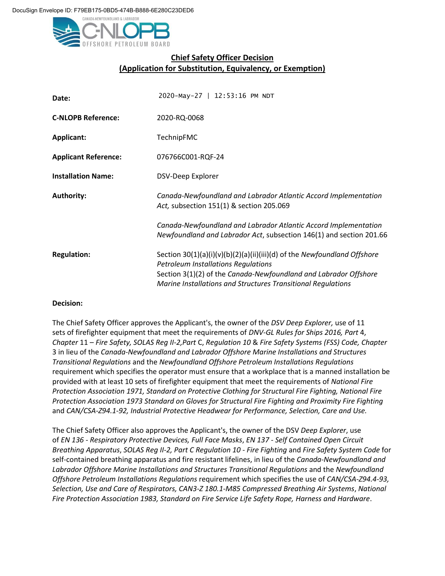

## **Chief Safety Officer Decision (Application for Substitution, Equivalency, or Exemption)**

| Date:                       | 2020-May-27   12:53:16 PM NDT                                                                                                          |
|-----------------------------|----------------------------------------------------------------------------------------------------------------------------------------|
| <b>C-NLOPB Reference:</b>   | 2020-RQ-0068                                                                                                                           |
| <b>Applicant:</b>           | TechnipFMC                                                                                                                             |
| <b>Applicant Reference:</b> | 076766C001-RQF-24                                                                                                                      |
| <b>Installation Name:</b>   | DSV-Deep Explorer                                                                                                                      |
| <b>Authority:</b>           | Canada-Newfoundland and Labrador Atlantic Accord Implementation<br>Act, subsection 151(1) & section 205.069                            |
|                             | Canada-Newfoundland and Labrador Atlantic Accord Implementation<br>Newfoundland and Labrador Act, subsection 146(1) and section 201.66 |
| <b>Regulation:</b>          | Section 30(1)(a)(i)(v)(b)(2)(a)(ii)(iii)(d) of the Newfoundland Offshore<br><b>Petroleum Installations Regulations</b>                 |
|                             | Section 3(1)(2) of the Canada-Newfoundland and Labrador Offshore<br>Marine Installations and Structures Transitional Regulations       |

## **Decision:**

The Chief Safety Officer approves the Applicant's, the owner of the *DSV Deep Explorer,* use of 11 sets of firefighter equipment that meet the requirements of *DNV-GL Rules for Ships 2016, Part* 4, *Chapter* 11 – *Fire Safety, SOLAS Reg II-2,Part* C, *Regulation 10* & *Fire Safety Systems (FSS) Code, Chapter*  3 in lieu of the *Canada-Newfoundland and Labrador Offshore Marine Installations and Structures Transitional Regulations* and the *Newfoundland Offshore Petroleum Installations Regulations*  requirement which specifies the operator must ensure that a workplace that is a manned installation be provided with at least 10 sets of firefighter equipment that meet the requirements of *National Fire Protection Association 1971, Standard on Protective Clothing for Structural Fire Fighting, National Fire Protection Association 1973 Standard on Gloves for Structural Fire Fighting and Proximity Fire Fighting*  and *CAN/CSA-Z94.1-92, Industrial Protective Headwear for Performance, Selection, Care and Use.*

The Chief Safety Officer also approves the Applicant's, the owner of the DSV *Deep Explorer*, use of *EN 136 - Respiratory Protective Devices, Full Face Masks*, *EN 137 - Self Contained Open Circuit Breathing Apparatus*, *SOLAS Reg II-2, Part C Regulation 10 - Fire Fighting* and *Fire Safety System Code* for self-contained breathing apparatus and fire resistant lifelines, in lieu of the *Canada-Newfoundland and Labrador Offshore Marine Installations and Structures Transitional Regulations* and the *Newfoundland Offshore Petroleum Installations Regulations* requirement which specifies the use of *CAN/CSA-Z94.4-93, Selection, Use and Care of Respirators, CAN3-Z 180.1-M85 Compressed Breathing Air Systems*, *National Fire Protection Association 1983, Standard on Fire Service Life Safety Rope, Harness and Hardware*.